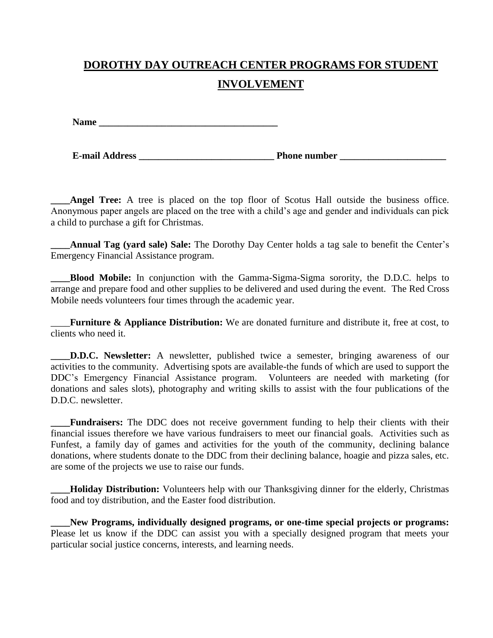## **DOROTHY DAY OUTREACH CENTER PROGRAMS FOR STUDENT INVOLVEMENT**

Name **Name** and  $\mathbf{v} = \mathbf{v}$  and  $\mathbf{v} = \mathbf{v}$  and  $\mathbf{v} = \mathbf{v}$  and  $\mathbf{v} = \mathbf{v}$  and  $\mathbf{v} = \mathbf{v}$  and  $\mathbf{v} = \mathbf{v}$  and  $\mathbf{v} = \mathbf{v}$  and  $\mathbf{v} = \mathbf{v}$  and  $\mathbf{v} = \mathbf{v}$  and  $\mathbf{v} = \mathbf{v}$  and  $\mathbf{v$ 

**E-mail Address \_\_\_\_\_\_\_\_\_\_\_\_\_\_\_\_\_\_\_\_\_\_\_\_\_\_\_\_ Phone number \_\_\_\_\_\_\_\_\_\_\_\_\_\_\_\_\_\_\_\_\_\_**

Angel Tree: A tree is placed on the top floor of Scotus Hall outside the business office. Anonymous paper angels are placed on the tree with a child's age and gender and individuals can pick a child to purchase a gift for Christmas.

**\_\_\_\_Annual Tag (yard sale) Sale:** The Dorothy Day Center holds a tag sale to benefit the Center's Emergency Financial Assistance program.

**\_\_\_\_Blood Mobile:** In conjunction with the Gamma-Sigma-Sigma sorority, the D.D.C. helps to arrange and prepare food and other supplies to be delivered and used during the event. The Red Cross Mobile needs volunteers four times through the academic year.

\_\_\_\_**Furniture & Appliance Distribution:** We are donated furniture and distribute it, free at cost, to clients who need it.

**D.D.C. Newsletter:** A newsletter, published twice a semester, bringing awareness of our activities to the community. Advertising spots are available-the funds of which are used to support the DDC's Emergency Financial Assistance program. Volunteers are needed with marketing (for donations and sales slots), photography and writing skills to assist with the four publications of the D.D.C. newsletter.

**\_\_\_\_Fundraisers:** The DDC does not receive government funding to help their clients with their financial issues therefore we have various fundraisers to meet our financial goals. Activities such as Funfest, a family day of games and activities for the youth of the community, declining balance donations, where students donate to the DDC from their declining balance, hoagie and pizza sales, etc. are some of the projects we use to raise our funds.

**Holiday Distribution:** Volunteers help with our Thanksgiving dinner for the elderly, Christmas food and toy distribution, and the Easter food distribution.

**\_\_\_\_New Programs, individually designed programs, or one-time special projects or programs:** Please let us know if the DDC can assist you with a specially designed program that meets your particular social justice concerns, interests, and learning needs.